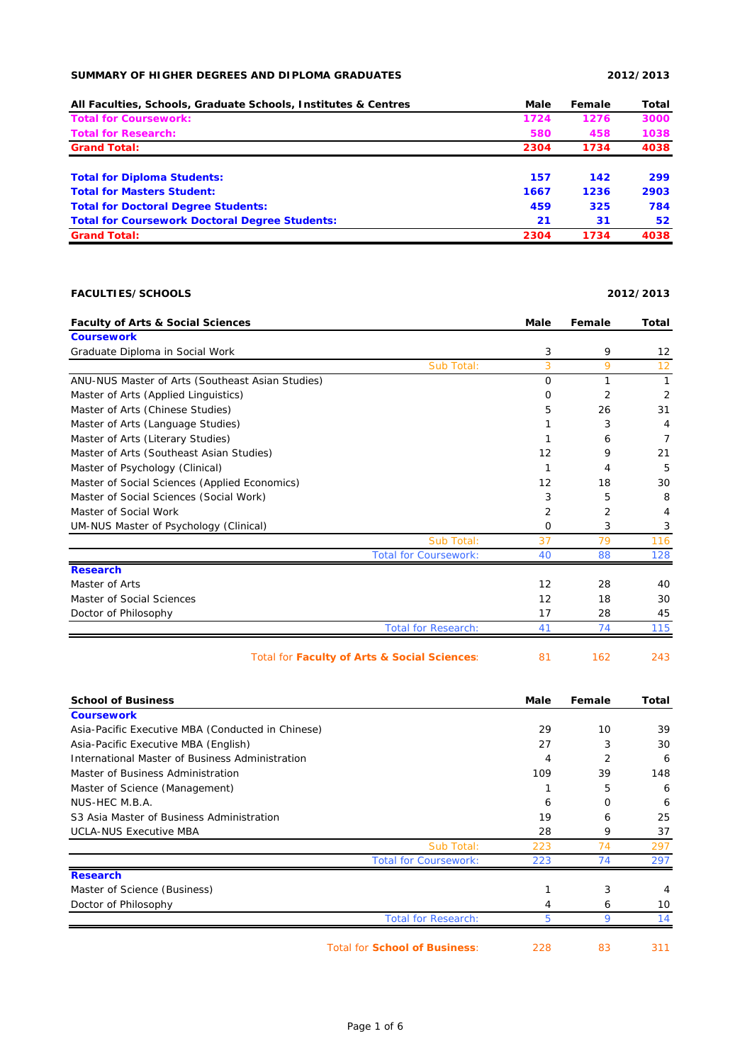## **SUMMARY OF HIGHER DEGREES AND DIPLOMA GRADUATES 2012/2013**

| All Faculties, Schools, Graduate Schools, Institutes & Centres | Male | Female | Total |
|----------------------------------------------------------------|------|--------|-------|
| <b>Total for Coursework:</b>                                   | 1724 | 1276   | 3000  |
| <b>Total for Research:</b>                                     | 580  | 458    | 1038  |
| <b>Grand Total:</b>                                            | 2304 | 1734   | 4038  |
| <b>Total for Diploma Students:</b>                             | 157  | 142    | 299   |
| <b>Total for Masters Student:</b>                              | 1667 | 1236   | 2903  |
| <b>Total for Doctoral Degree Students:</b>                     | 459  | 325    | 784   |
| <b>Total for Coursework Doctoral Degree Students:</b>          | 21   | 31     | 52    |
| <b>Grand Total:</b>                                            | 2304 | 1734   | 4038  |

## **FACULTIES/SCHOOLS 2012/2013**

| <b>Faculty of Arts &amp; Social Sciences</b>      | <b>Male</b>    | Female | <b>Total</b>   |
|---------------------------------------------------|----------------|--------|----------------|
| <b>Coursework</b>                                 |                |        |                |
| Graduate Diploma in Social Work                   | 3              | 9      | 12             |
| Sub Total:                                        | $\overline{3}$ | 9      | 12             |
| ANU-NUS Master of Arts (Southeast Asian Studies)  | $\Omega$       | 1      | $\mathbf{1}$   |
| Master of Arts (Applied Linguistics)              | 0              | 2      | $\overline{2}$ |
| Master of Arts (Chinese Studies)                  | 5              | 26     | 31             |
| Master of Arts (Language Studies)                 | 1              | 3      | 4              |
| Master of Arts (Literary Studies)                 | 1              | 6      | $\overline{7}$ |
| Master of Arts (Southeast Asian Studies)          | 12             | 9      | 21             |
| Master of Psychology (Clinical)                   | $\mathbf{1}$   | 4      | 5              |
| Master of Social Sciences (Applied Economics)     | 12             | 18     | 30             |
| Master of Social Sciences (Social Work)           | 3              | 5      | 8              |
| Master of Social Work                             | 2              | 2      | 4              |
| UM-NUS Master of Psychology (Clinical)            | 0              | 3      | 3              |
| Sub Total:                                        | 37             | 79     | 116            |
| <b>Total for Coursework:</b>                      | 40             | 88     | 128            |
| <b>Research</b>                                   |                |        |                |
| Master of Arts                                    | 12             | 28     | 40             |
| Master of Social Sciences                         | 12             | 18     | 30             |
| Doctor of Philosophy                              | 17             | 28     | 45             |
| <b>Total for Research:</b>                        | 41             | 74     | 115            |
| Total for Faculty of Arts & Social Sciences:      | 81             | 162    | 243            |
| <b>School of Business</b>                         | Male           | Female | Total          |
| <b>Coursework</b>                                 |                |        |                |
| Asia-Pacific Executive MBA (Conducted in Chinese) | 29             | 10     | 39             |
| Asia-Pacific Executive MBA (English)              | 27             | 3      | 30             |
| International Master of Business Administration   | 4              | 2      | 6              |
| Master of Business Administration                 | 109            | 39     | 148            |
| Master of Science (Management)                    | 1              | 5      | 6              |
| NUS-HEC M.B.A.                                    | 6              | 0      | 6              |
| S3 Asia Master of Business Administration         | 19             | 6      | 25             |
| <b>UCLA-NUS Executive MBA</b>                     | 28             | 9      | 37             |
| Sub Total:                                        | 223            | 74     | 297            |

|                              | <b>Total for Coursework:</b>         | 223 |    | 297 |
|------------------------------|--------------------------------------|-----|----|-----|
| <b>Research</b>              |                                      |     |    |     |
| Master of Science (Business) |                                      |     |    | 4   |
| Doctor of Philosophy         |                                      |     |    | 10  |
|                              | <b>Total for Research:</b>           |     |    | 14  |
|                              | <b>Total for School of Business:</b> | 228 | 83 |     |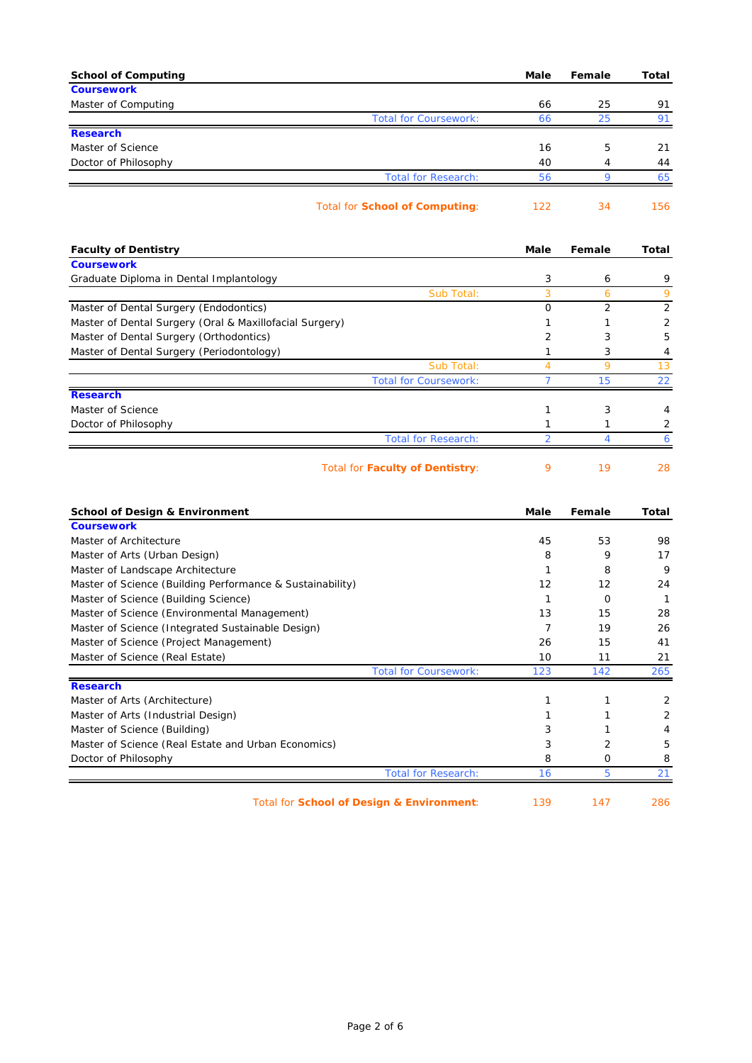| <b>School of Computing</b>                                                                         | Male                 | Female   | Total        |
|----------------------------------------------------------------------------------------------------|----------------------|----------|--------------|
| <b>Coursework</b>                                                                                  |                      |          |              |
| Master of Computing                                                                                | 66                   | 25       | 91           |
| <b>Total for Coursework:</b><br><b>Research</b>                                                    | 66                   | 25       | 91           |
| Master of Science                                                                                  | 16                   | 5        | 21           |
| Doctor of Philosophy                                                                               | 40                   | 4        | 44           |
| <b>Total for Research:</b>                                                                         | 56                   | 9        | 65           |
| <b>Total for School of Computing:</b>                                                              | 122                  | 34       | 156          |
| <b>Faculty of Dentistry</b>                                                                        | Male                 | Female   | Total        |
| <b>Coursework</b>                                                                                  |                      |          |              |
| Graduate Diploma in Dental Implantology                                                            | 3                    | 6        | 9            |
| Sub Total:                                                                                         | 3                    | 6        | 9            |
| Master of Dental Surgery (Endodontics)                                                             | 0                    | 2        | 2            |
| Master of Dental Surgery (Oral & Maxillofacial Surgery)<br>Master of Dental Surgery (Orthodontics) | 1<br>2               | 1<br>3   | 2<br>5       |
| Master of Dental Surgery (Periodontology)                                                          | 1                    | 3        | 4            |
| Sub Total:                                                                                         | 4                    | 9        | 13           |
| <b>Total for Coursework:</b>                                                                       | $\overline{7}$       | 15       | 22           |
| <b>Research</b>                                                                                    |                      |          |              |
| Master of Science                                                                                  | 1                    | 3        | 4            |
| Doctor of Philosophy                                                                               | 1                    | 1        | 2            |
| <b>Total for Research:</b>                                                                         | $\overline{2}$       | 4        | 6            |
| Total for Faculty of Dentistry:                                                                    | 9                    | 19       | 28           |
| <b>School of Design &amp; Environment</b>                                                          | Male                 | Female   | Total        |
| <b>Coursework</b>                                                                                  |                      |          |              |
| Master of Architecture                                                                             | 45                   | 53       | 98           |
| Master of Arts (Urban Design)                                                                      | 8                    | 9        | 17           |
| Master of Landscape Architecture                                                                   | 1                    | 8        | 9            |
| Master of Science (Building Performance & Sustainability)                                          | 12                   | 12       | 24           |
| Master of Science (Building Science)                                                               | 1                    | 0        | $\mathbf{1}$ |
| Master of Science (Environmental Management)<br>Master of Science (Integrated Sustainable Design)  | 13<br>$\overline{7}$ | 15<br>19 | 28<br>26     |
| Master of Science (Project Management)                                                             | 26                   | 15       | 41           |
| Master of Science (Real Estate)                                                                    | 10                   | 11       | 21           |
| <b>Total for Coursework:</b>                                                                       | 123                  | 142      | 265          |
| <b>Research</b>                                                                                    |                      |          |              |
| Master of Arts (Architecture)                                                                      | 1                    | 1        | 2            |
| Master of Arts (Industrial Design)                                                                 | 1                    |          | 2            |
| Master of Science (Building)                                                                       | 3                    | 1        | 4            |
| Master of Science (Real Estate and Urban Economics)                                                | 3                    | 2        | 5            |
| Doctor of Philosophy                                                                               | 8                    | 0        | 8            |
| <b>Total for Research:</b>                                                                         | 16                   | 5        | 21           |
| Total for School of Design & Environment:                                                          | 139                  | 147      | 286          |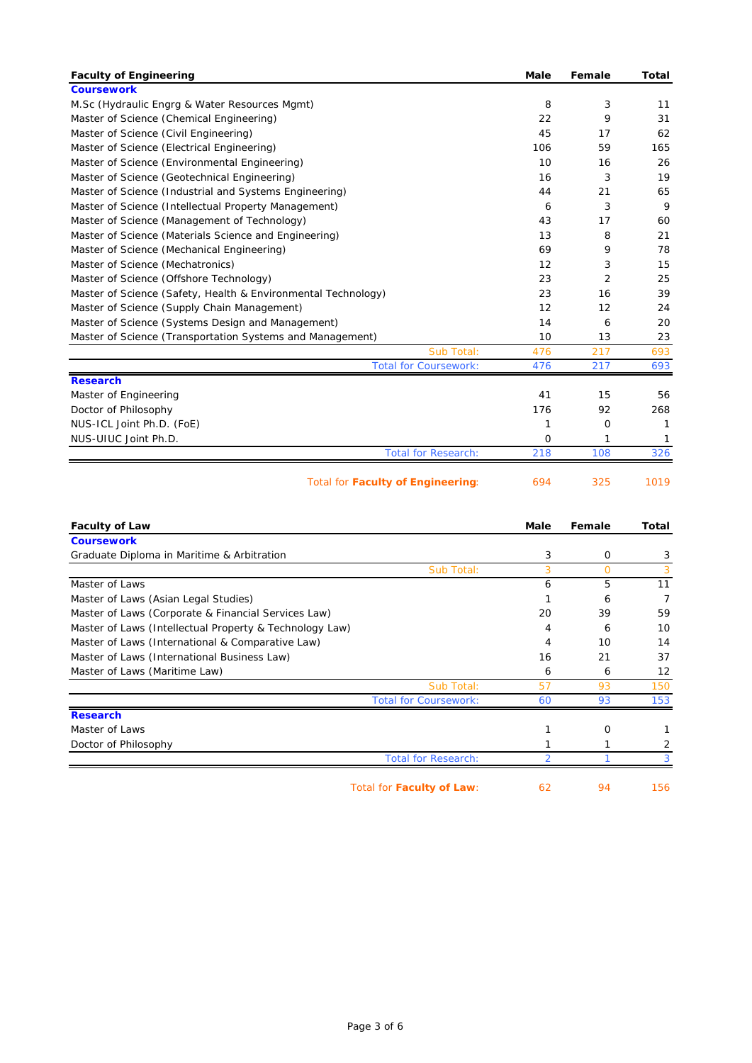| <b>Faculty of Engineering</b>                                 | Male        | Female         | <b>Total</b> |
|---------------------------------------------------------------|-------------|----------------|--------------|
| <b>Coursework</b>                                             |             |                |              |
| M.Sc (Hydraulic Engrg & Water Resources Mgmt)                 | 8           | 3              | 11           |
| Master of Science (Chemical Engineering)                      | 22          | 9              | 31           |
| Master of Science (Civil Engineering)                         | 45          | 17             | 62           |
| Master of Science (Electrical Engineering)                    | 106         | 59             | 165          |
| Master of Science (Environmental Engineering)                 | 10          | 16             | 26           |
| Master of Science (Geotechnical Engineering)                  | 16          | 3              | 19           |
| Master of Science (Industrial and Systems Engineering)        | 44          | 21             | 65           |
| Master of Science (Intellectual Property Management)          | 6           | 3              | 9            |
| Master of Science (Management of Technology)                  | 43          | 17             | 60           |
| Master of Science (Materials Science and Engineering)         | 13          | 8              | 21           |
| Master of Science (Mechanical Engineering)                    | 69          | 9              | 78           |
| Master of Science (Mechatronics)                              | 12          | 3              | 15           |
| Master of Science (Offshore Technology)                       | 23          | $\overline{2}$ | 25           |
| Master of Science (Safety, Health & Environmental Technology) | 23          | 16             | 39           |
| Master of Science (Supply Chain Management)                   | 12          | 12             | 24           |
| Master of Science (Systems Design and Management)             | 14          | 6              | 20           |
| Master of Science (Transportation Systems and Management)     | 10          | 13             | 23           |
| Sub Total:                                                    | 476         | 217            | 693          |
| <b>Total for Coursework:</b>                                  | 476         | 217            | 693          |
| <b>Research</b>                                               |             |                |              |
| Master of Engineering                                         | 41          | 15             | 56           |
| Doctor of Philosophy                                          | 176         | 92             | 268          |
| NUS-ICL Joint Ph.D. (FoE)                                     | 1           | 0              | 1            |
| NUS-UIUC Joint Ph.D.                                          | $\mathbf 0$ | 1              | 1            |
| <b>Total for Research:</b>                                    | 218         | 108            | 326          |
| <b>Total for Faculty of Engineering:</b>                      | 694         | 325            | 1019         |
|                                                               |             |                |              |

| <b>Faculty of Law</b>                                   |                            | Male | Female      | Total |
|---------------------------------------------------------|----------------------------|------|-------------|-------|
| <b>Coursework</b>                                       |                            |      |             |       |
| Graduate Diploma in Maritime & Arbitration              |                            | 3    | $\mathbf 0$ | 3     |
|                                                         | Sub Total:                 | 3    | $\Omega$    |       |
| Master of Laws                                          |                            | 6    | 5           | 11    |
| Master of Laws (Asian Legal Studies)                    |                            |      | 6           |       |
| Master of Laws (Corporate & Financial Services Law)     |                            | 20   | 39          | 59    |
| Master of Laws (Intellectual Property & Technology Law) |                            | 4    | 6           | 10    |
| Master of Laws (International & Comparative Law)        |                            | 4    | 10          | 14    |
| Master of Laws (International Business Law)             |                            | 16   | 21          | 37    |
| Master of Laws (Maritime Law)                           |                            | 6    | 6           | 12    |
|                                                         | Sub Total:                 | 57   | 93          | 150   |
| <b>Total for Coursework:</b>                            |                            | 60   | 93          | 153   |
| <b>Research</b>                                         |                            |      |             |       |
| Master of Laws                                          |                            |      | $\Omega$    |       |
| Doctor of Philosophy                                    |                            |      |             |       |
|                                                         | <b>Total for Research:</b> | 2    |             |       |
| Total for Faculty of Law:                               |                            | 62   | 94          | 156   |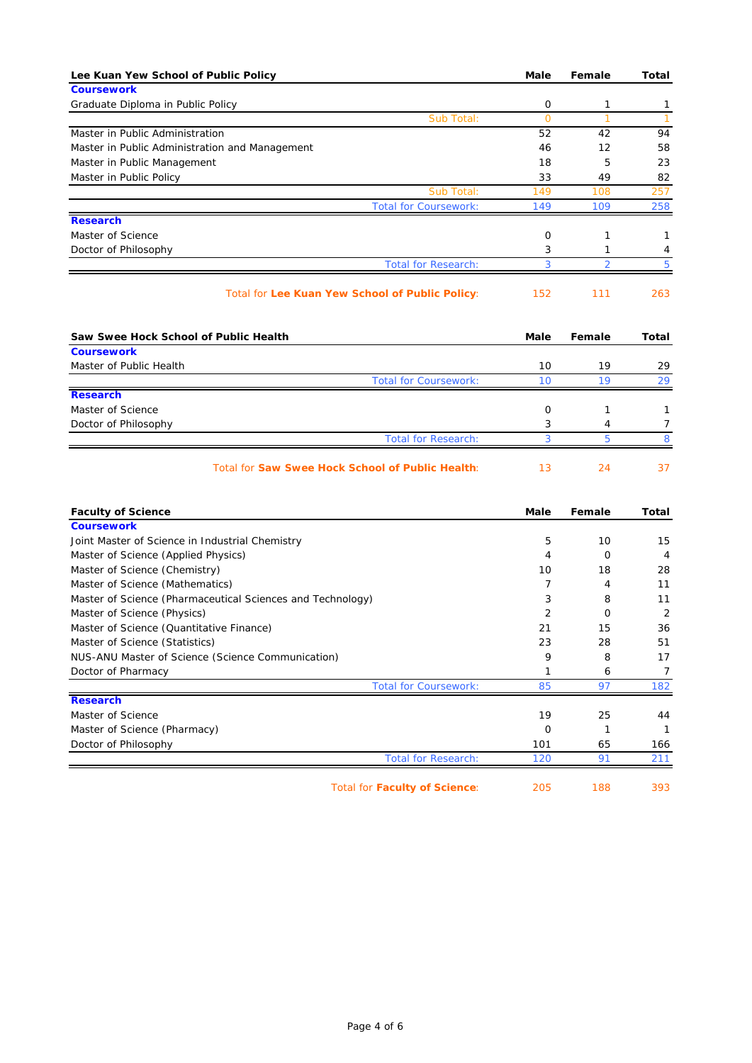| Lee Kuan Yew School of Public Policy                       | Male           | Female         | <b>Total</b>   |
|------------------------------------------------------------|----------------|----------------|----------------|
| <b>Coursework</b>                                          |                |                |                |
| Graduate Diploma in Public Policy                          | 0              | 1              | 1              |
| Sub Total:                                                 | $\overline{0}$ | 1              | $\mathbf{1}$   |
| Master in Public Administration                            | 52             | 42             | 94             |
| Master in Public Administration and Management             | 46             | 12             | 58             |
| Master in Public Management                                | 18             | 5              | 23             |
| Master in Public Policy                                    | 33             | 49             | 82             |
| Sub Total:<br><b>Total for Coursework:</b>                 | 149<br>149     | 108<br>109     | 257<br>258     |
| <b>Research</b>                                            |                |                |                |
| Master of Science                                          | 0              | 1              | 1              |
| Doctor of Philosophy                                       | 3              | 1              | 4              |
| <b>Total for Research:</b>                                 | 3              | $\overline{2}$ | 5              |
|                                                            |                |                |                |
| Total for Lee Kuan Yew School of Public Policy:            | 152            | 111            | 263            |
| Saw Swee Hock School of Public Health                      | Male           | Female         | <b>Total</b>   |
| <b>Coursework</b>                                          |                |                |                |
| Master of Public Health                                    | 10             | 19             | 29             |
| <b>Total for Coursework:</b>                               | 10             | 19             | 29             |
| <b>Research</b>                                            |                |                |                |
| Master of Science                                          | 0              | 1              | 1              |
| Doctor of Philosophy                                       | 3              | 4              | 7              |
| <b>Total for Research:</b>                                 | 3              | 5              | 8              |
| Total for Saw Swee Hock School of Public Health:           | 13             | 24             | 37             |
| <b>Faculty of Science</b>                                  | Male           | Female         | Total          |
| <b>Coursework</b>                                          |                |                |                |
| Joint Master of Science in Industrial Chemistry            | 5              | 10             | 15             |
| Master of Science (Applied Physics)                        | 4              | 0              | 4              |
| Master of Science (Chemistry)                              | 10             | 18             | 28             |
| Master of Science (Mathematics)                            | $\overline{7}$ | 4              | 11             |
| Master of Science (Pharmaceutical Sciences and Technology) | 3              | 8              | 11             |
| Master of Science (Physics)                                | 2              | 0              | 2              |
| Master of Science (Quantitative Finance)                   | 21             | 15             | 36             |
| Master of Science (Statistics)                             | 23             | 28             | 51             |
| NUS-ANU Master of Science (Science Communication)          | 9              | 8              | 17             |
| Doctor of Pharmacy                                         | 1              | 6              | $\overline{7}$ |
| <b>Total for Coursework:</b>                               | 85             | 97             | 182            |
| <b>Research</b>                                            |                |                |                |
| Master of Science                                          | 19             | 25             | 44             |
| Master of Science (Pharmacy)                               | 0              | 1              | -1             |
| Doctor of Philosophy                                       | 101            | 65             | 166            |
| <b>Total for Research:</b>                                 | 120            | 91             | 211            |
| <b>Total for Faculty of Science:</b>                       | 205            | 188            | 393            |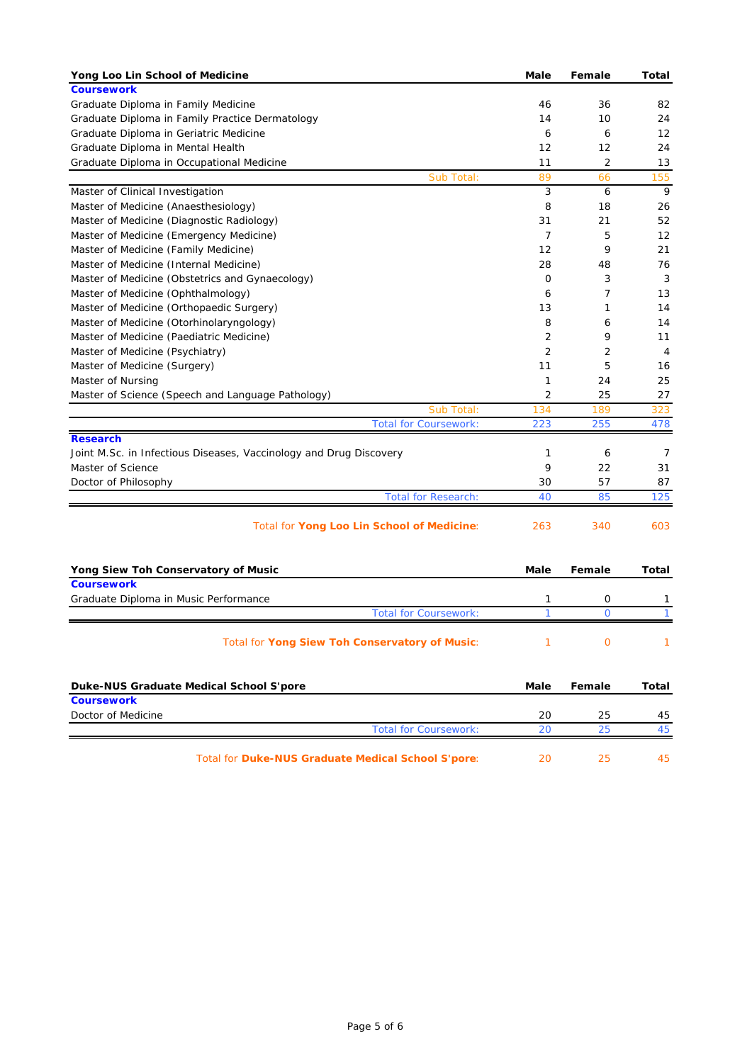| Yong Loo Lin School of Medicine                                    | Male           | Female         | Total          |
|--------------------------------------------------------------------|----------------|----------------|----------------|
| <b>Coursework</b>                                                  |                |                |                |
| Graduate Diploma in Family Medicine                                | 46             | 36             | 82             |
| Graduate Diploma in Family Practice Dermatology                    | 14             | 10             | 24             |
| Graduate Diploma in Geriatric Medicine                             | 6              | 6              | 12             |
| Graduate Diploma in Mental Health                                  | 12             | 12             | 24             |
| Graduate Diploma in Occupational Medicine                          | 11             | $\overline{2}$ | 13             |
| Sub Total:                                                         | 89             | 66             | 155            |
| Master of Clinical Investigation                                   | 3              | 6              | 9              |
| Master of Medicine (Anaesthesiology)                               | 8              | 18             | 26             |
| Master of Medicine (Diagnostic Radiology)                          | 31             | 21             | 52             |
| Master of Medicine (Emergency Medicine)                            | $\overline{7}$ | 5              | 12             |
| Master of Medicine (Family Medicine)                               | 12             | 9              | 21             |
| Master of Medicine (Internal Medicine)                             | 28             | 48             | 76             |
| Master of Medicine (Obstetrics and Gynaecology)                    | 0              | 3              | 3              |
| Master of Medicine (Ophthalmology)                                 | 6              | 7              | 13             |
| Master of Medicine (Orthopaedic Surgery)                           | 13             | 1              | 14             |
| Master of Medicine (Otorhinolaryngology)                           | 8              | 6              | 14             |
| Master of Medicine (Paediatric Medicine)                           | 2              | 9              | 11             |
|                                                                    | 2              | 2              | $\overline{4}$ |
| Master of Medicine (Psychiatry)                                    |                | 5              |                |
| Master of Medicine (Surgery)                                       | 11             |                | 16             |
| Master of Nursing                                                  | 1              | 24             | 25             |
| Master of Science (Speech and Language Pathology)                  | 2              | 25             | 27             |
| Sub Total:                                                         | 134            | 189            | 323            |
| <b>Total for Coursework:</b>                                       | 223            | 255            | 478            |
| <b>Research</b>                                                    |                |                |                |
| Joint M.Sc. in Infectious Diseases, Vaccinology and Drug Discovery | 1              | 6              | 7              |
| Master of Science                                                  | 9              | 22             | 31             |
| Doctor of Philosophy                                               | 30             | 57             | 87             |
| <b>Total for Research:</b>                                         | 40             | 85             | 125            |
| Total for Yong Loo Lin School of Medicine:                         | 263            | 340            | 603            |
|                                                                    |                |                |                |
|                                                                    | Male           | Female         | Total          |
| Yong Siew Toh Conservatory of Music<br><b>Coursework</b>           |                |                |                |
|                                                                    | 1              | 0              |                |
| Graduate Diploma in Music Performance                              | 1              | $\mathbf{O}$   | 1<br>1         |
| <b>Total for Coursework:</b>                                       |                |                |                |
| Total for Yong Siew Toh Conservatory of Music:                     | $\mathbf{1}$   | $\mathbf 0$    | 1              |
|                                                                    |                |                |                |
| Duke-NUS Graduate Medical School S'pore                            | Male           | Female         | <b>Total</b>   |
| <b>Coursework</b>                                                  |                |                |                |
| Doctor of Medicine                                                 | 20             | 25             | 45             |
| <b>Total for Coursework:</b>                                       | 20             | 25             | 45             |
|                                                                    |                |                |                |
| Total for Duke-NUS Graduate Medical School S'pore:                 | 20             | 25             | 45             |